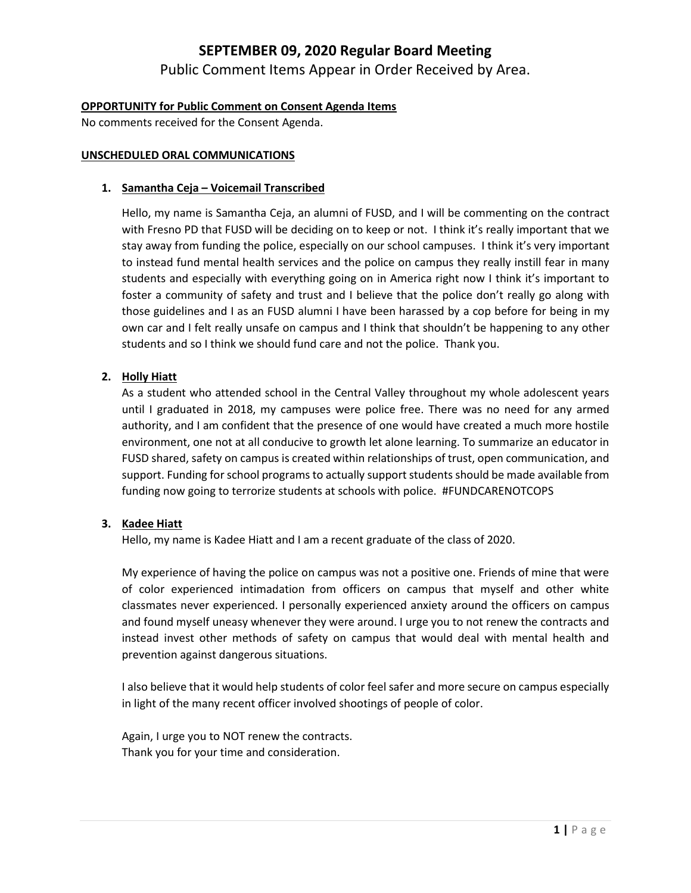Public Comment Items Appear in Order Received by Area.

#### **OPPORTUNITY for Public Comment on Consent Agenda Items**

No comments received for the Consent Agenda.

#### **UNSCHEDULED ORAL COMMUNICATIONS**

#### **1. Samantha Ceja – Voicemail Transcribed**

Hello, my name is Samantha Ceja, an alumni of FUSD, and I will be commenting on the contract with Fresno PD that FUSD will be deciding on to keep or not. I think it's really important that we stay away from funding the police, especially on our school campuses. I think it's very important to instead fund mental health services and the police on campus they really instill fear in many students and especially with everything going on in America right now I think it's important to foster a community of safety and trust and I believe that the police don't really go along with those guidelines and I as an FUSD alumni I have been harassed by a cop before for being in my own car and I felt really unsafe on campus and I think that shouldn't be happening to any other students and so I think we should fund care and not the police. Thank you.

#### **2. Holly Hiatt**

As a student who attended school in the Central Valley throughout my whole adolescent years until I graduated in 2018, my campuses were police free. There was no need for any armed authority, and I am confident that the presence of one would have created a much more hostile environment, one not at all conducive to growth let alone learning. To summarize an educator in FUSD shared, safety on campus is created within relationships of trust, open communication, and support. Funding for school programs to actually support students should be made available from funding now going to terrorize students at schools with police. #FUNDCARENOTCOPS

#### **3. Kadee Hiatt**

Hello, my name is Kadee Hiatt and I am a recent graduate of the class of 2020.

My experience of having the police on campus was not a positive one. Friends of mine that were of color experienced intimadation from officers on campus that myself and other white classmates never experienced. I personally experienced anxiety around the officers on campus and found myself uneasy whenever they were around. I urge you to not renew the contracts and instead invest other methods of safety on campus that would deal with mental health and prevention against dangerous situations.

I also believe that it would help students of color feel safer and more secure on campus especially in light of the many recent officer involved shootings of people of color.

Again, I urge you to NOT renew the contracts. Thank you for your time and consideration.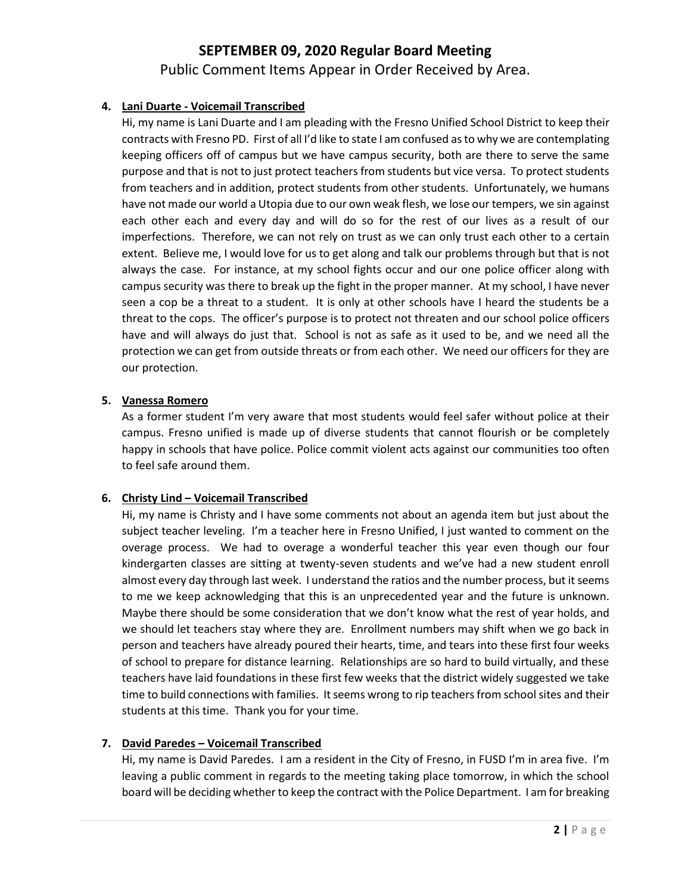Public Comment Items Appear in Order Received by Area.

#### **4. Lani Duarte - Voicemail Transcribed**

Hi, my name is Lani Duarte and I am pleading with the Fresno Unified School District to keep their contracts with Fresno PD. First of all I'd like to state I am confused as to why we are contemplating keeping officers off of campus but we have campus security, both are there to serve the same purpose and that is not to just protect teachers from students but vice versa. To protect students from teachers and in addition, protect students from other students. Unfortunately, we humans have not made our world a Utopia due to our own weak flesh, we lose our tempers, we sin against each other each and every day and will do so for the rest of our lives as a result of our imperfections. Therefore, we can not rely on trust as we can only trust each other to a certain extent. Believe me, I would love for us to get along and talk our problems through but that is not always the case. For instance, at my school fights occur and our one police officer along with campus security was there to break up the fight in the proper manner. At my school, I have never seen a cop be a threat to a student. It is only at other schools have I heard the students be a threat to the cops. The officer's purpose is to protect not threaten and our school police officers have and will always do just that. School is not as safe as it used to be, and we need all the protection we can get from outside threats or from each other. We need our officers for they are our protection.

#### **5. Vanessa Romero**

As a former student I'm very aware that most students would feel safer without police at their campus. Fresno unified is made up of diverse students that cannot flourish or be completely happy in schools that have police. Police commit violent acts against our communities too often to feel safe around them.

#### **6. Christy Lind – Voicemail Transcribed**

Hi, my name is Christy and I have some comments not about an agenda item but just about the subject teacher leveling. I'm a teacher here in Fresno Unified, I just wanted to comment on the overage process. We had to overage a wonderful teacher this year even though our four kindergarten classes are sitting at twenty-seven students and we've had a new student enroll almost every day through last week. I understand the ratios and the number process, but it seems to me we keep acknowledging that this is an unprecedented year and the future is unknown. Maybe there should be some consideration that we don't know what the rest of year holds, and we should let teachers stay where they are. Enrollment numbers may shift when we go back in person and teachers have already poured their hearts, time, and tears into these first four weeks of school to prepare for distance learning. Relationships are so hard to build virtually, and these teachers have laid foundations in these first few weeks that the district widely suggested we take time to build connections with families. It seems wrong to rip teachers from school sites and their students at this time. Thank you for your time.

#### **7. David Paredes – Voicemail Transcribed**

Hi, my name is David Paredes. I am a resident in the City of Fresno, in FUSD I'm in area five. I'm leaving a public comment in regards to the meeting taking place tomorrow, in which the school board will be deciding whether to keep the contract with the Police Department. I am for breaking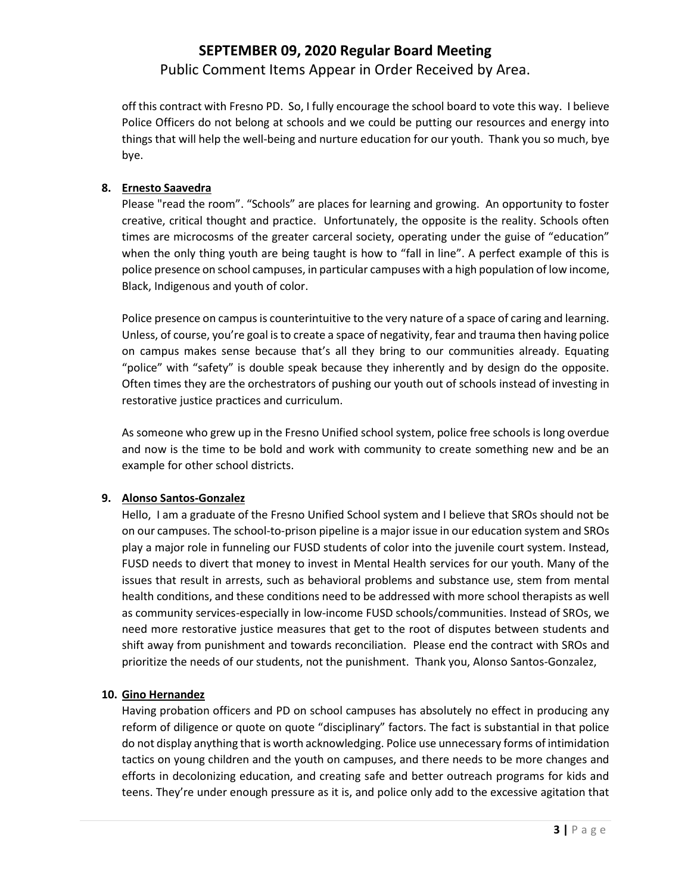Public Comment Items Appear in Order Received by Area.

off this contract with Fresno PD. So, I fully encourage the school board to vote this way. I believe Police Officers do not belong at schools and we could be putting our resources and energy into things that will help the well-being and nurture education for our youth. Thank you so much, bye bye.

#### **8. Ernesto Saavedra**

Please "read the room". "Schools" are places for learning and growing. An opportunity to foster creative, critical thought and practice. Unfortunately, the opposite is the reality. Schools often times are microcosms of the greater carceral society, operating under the guise of "education" when the only thing youth are being taught is how to "fall in line". A perfect example of this is police presence on school campuses, in particular campuses with a high population of low income, Black, Indigenous and youth of color.

Police presence on campus is counterintuitive to the very nature of a space of caring and learning. Unless, of course, you're goal is to create a space of negativity, fear and trauma then having police on campus makes sense because that's all they bring to our communities already. Equating "police" with "safety" is double speak because they inherently and by design do the opposite. Often times they are the orchestrators of pushing our youth out of schools instead of investing in restorative justice practices and curriculum.

As someone who grew up in the Fresno Unified school system, police free schools is long overdue and now is the time to be bold and work with community to create something new and be an example for other school districts.

#### **9. Alonso Santos-Gonzalez**

Hello, I am a graduate of the Fresno Unified School system and I believe that SROs should not be on our campuses. The school-to-prison pipeline is a major issue in our education system and SROs play a major role in funneling our FUSD students of color into the juvenile court system. Instead, FUSD needs to divert that money to invest in Mental Health services for our youth. Many of the issues that result in arrests, such as behavioral problems and substance use, stem from mental health conditions, and these conditions need to be addressed with more school therapists as well as community services-especially in low-income FUSD schools/communities. Instead of SROs, we need more restorative justice measures that get to the root of disputes between students and shift away from punishment and towards reconciliation. Please end the contract with SROs and prioritize the needs of our students, not the punishment. Thank you, Alonso Santos-Gonzalez,

#### **10. Gino Hernandez**

Having probation officers and PD on school campuses has absolutely no effect in producing any reform of diligence or quote on quote "disciplinary" factors. The fact is substantial in that police do not display anything that is worth acknowledging. Police use unnecessary forms of intimidation tactics on young children and the youth on campuses, and there needs to be more changes and efforts in decolonizing education, and creating safe and better outreach programs for kids and teens. They're under enough pressure as it is, and police only add to the excessive agitation that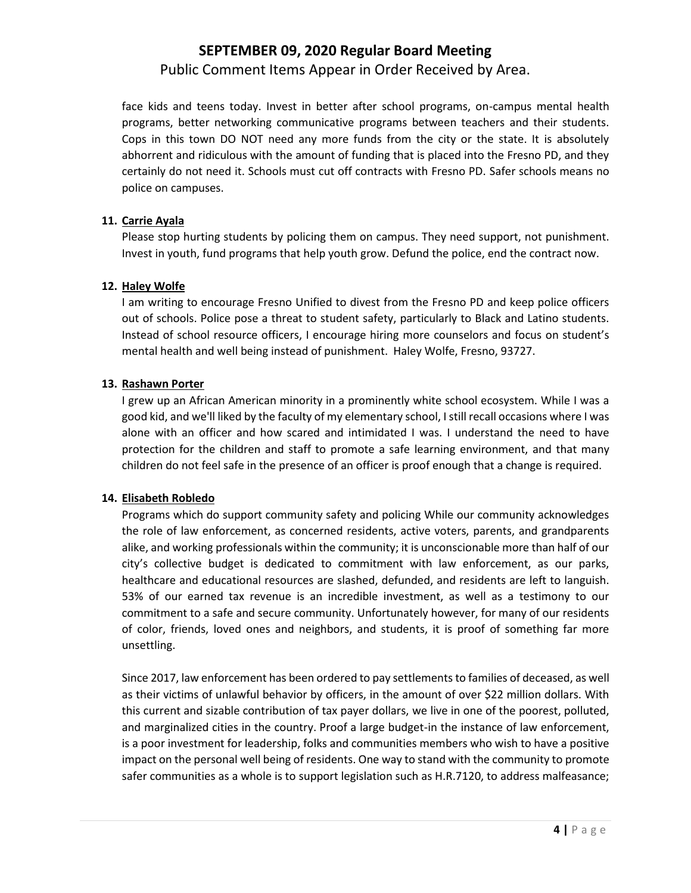Public Comment Items Appear in Order Received by Area.

face kids and teens today. Invest in better after school programs, on-campus mental health programs, better networking communicative programs between teachers and their students. Cops in this town DO NOT need any more funds from the city or the state. It is absolutely abhorrent and ridiculous with the amount of funding that is placed into the Fresno PD, and they certainly do not need it. Schools must cut off contracts with Fresno PD. Safer schools means no police on campuses.

#### **11. Carrie Ayala**

Please stop hurting students by policing them on campus. They need support, not punishment. Invest in youth, fund programs that help youth grow. Defund the police, end the contract now.

#### **12. Haley Wolfe**

I am writing to encourage Fresno Unified to divest from the Fresno PD and keep police officers out of schools. Police pose a threat to student safety, particularly to Black and Latino students. Instead of school resource officers, I encourage hiring more counselors and focus on student's mental health and well being instead of punishment. Haley Wolfe, Fresno, 93727.

#### **13. Rashawn Porter**

I grew up an African American minority in a prominently white school ecosystem. While I was a good kid, and we'll liked by the faculty of my elementary school, I still recall occasions where I was alone with an officer and how scared and intimidated I was. I understand the need to have protection for the children and staff to promote a safe learning environment, and that many children do not feel safe in the presence of an officer is proof enough that a change is required.

#### **14. Elisabeth Robledo**

Programs which do support community safety and policing While our community acknowledges the role of law enforcement, as concerned residents, active voters, parents, and grandparents alike, and working professionals within the community; it is unconscionable more than half of our city's collective budget is dedicated to commitment with law enforcement, as our parks, healthcare and educational resources are slashed, defunded, and residents are left to languish. 53% of our earned tax revenue is an incredible investment, as well as a testimony to our commitment to a safe and secure community. Unfortunately however, for many of our residents of color, friends, loved ones and neighbors, and students, it is proof of something far more unsettling.

Since 2017, law enforcement has been ordered to pay settlements to families of deceased, as well as their victims of unlawful behavior by officers, in the amount of over \$22 million dollars. With this current and sizable contribution of tax payer dollars, we live in one of the poorest, polluted, and marginalized cities in the country. Proof a large budget-in the instance of law enforcement, is a poor investment for leadership, folks and communities members who wish to have a positive impact on the personal well being of residents. One way to stand with the community to promote safer communities as a whole is to support legislation such as H.R.7120, to address malfeasance;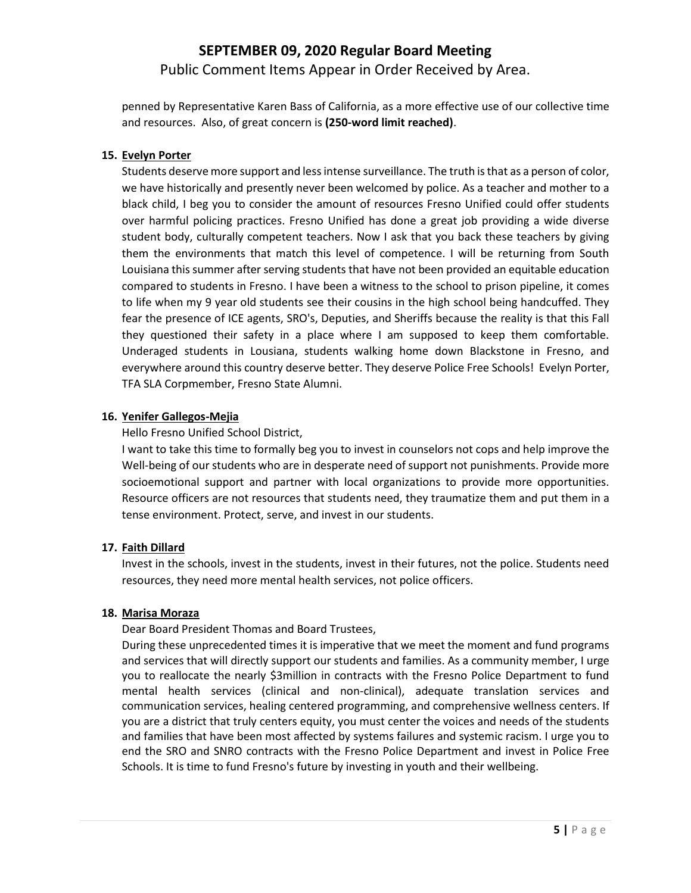## **SEPTEMBER 09, 2020 Regular Board Meeting** Public Comment Items Appear in Order Received by Area.

penned by Representative Karen Bass of California, as a more effective use of our collective time and resources. Also, of great concern is **(250-word limit reached)**.

#### **15. Evelyn Porter**

Students deserve more support and less intense surveillance. The truth is that as a person of color, we have historically and presently never been welcomed by police. As a teacher and mother to a black child, I beg you to consider the amount of resources Fresno Unified could offer students over harmful policing practices. Fresno Unified has done a great job providing a wide diverse student body, culturally competent teachers. Now I ask that you back these teachers by giving them the environments that match this level of competence. I will be returning from South Louisiana this summer after serving students that have not been provided an equitable education compared to students in Fresno. I have been a witness to the school to prison pipeline, it comes to life when my 9 year old students see their cousins in the high school being handcuffed. They fear the presence of ICE agents, SRO's, Deputies, and Sheriffs because the reality is that this Fall they questioned their safety in a place where I am supposed to keep them comfortable. Underaged students in Lousiana, students walking home down Blackstone in Fresno, and everywhere around this country deserve better. They deserve Police Free Schools! Evelyn Porter, TFA SLA Corpmember, Fresno State Alumni.

#### **16. Yenifer Gallegos-Mejia**

Hello Fresno Unified School District,

I want to take this time to formally beg you to invest in counselors not cops and help improve the Well-being of our students who are in desperate need of support not punishments. Provide more socioemotional support and partner with local organizations to provide more opportunities. Resource officers are not resources that students need, they traumatize them and put them in a tense environment. Protect, serve, and invest in our students.

#### **17. Faith Dillard**

Invest in the schools, invest in the students, invest in their futures, not the police. Students need resources, they need more mental health services, not police officers.

#### **18. Marisa Moraza**

Dear Board President Thomas and Board Trustees,

During these unprecedented times it is imperative that we meet the moment and fund programs and services that will directly support our students and families. As a community member, I urge you to reallocate the nearly \$3million in contracts with the Fresno Police Department to fund mental health services (clinical and non-clinical), adequate translation services and communication services, healing centered programming, and comprehensive wellness centers. If you are a district that truly centers equity, you must center the voices and needs of the students and families that have been most affected by systems failures and systemic racism. I urge you to end the SRO and SNRO contracts with the Fresno Police Department and invest in Police Free Schools. It is time to fund Fresno's future by investing in youth and their wellbeing.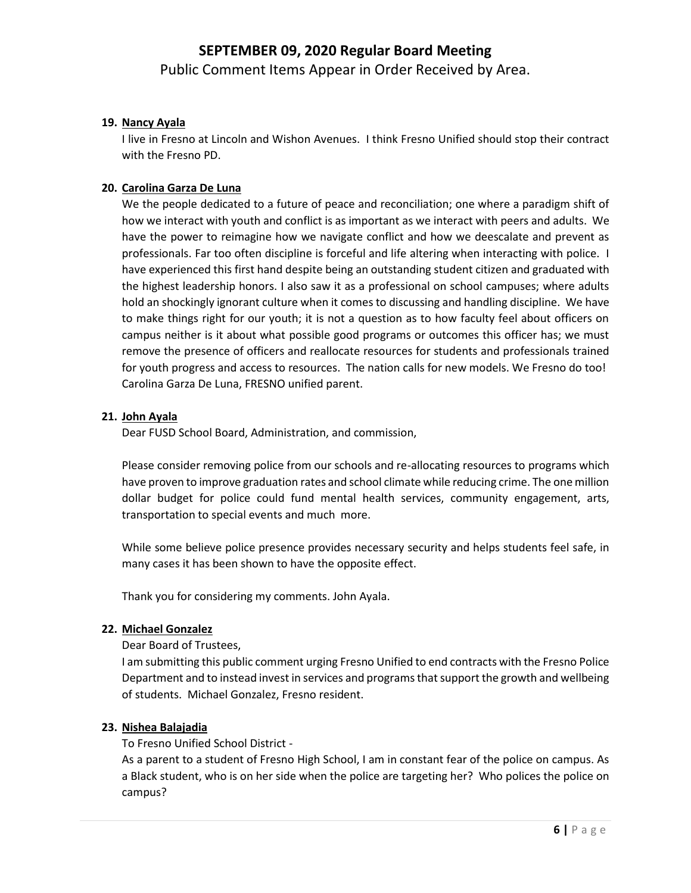## **SEPTEMBER 09, 2020 Regular Board Meeting** Public Comment Items Appear in Order Received by Area.

#### **19. Nancy Ayala**

I live in Fresno at Lincoln and Wishon Avenues. I think Fresno Unified should stop their contract with the Fresno PD.

#### **20. Carolina Garza De Luna**

We the people dedicated to a future of peace and reconciliation; one where a paradigm shift of how we interact with youth and conflict is as important as we interact with peers and adults. We have the power to reimagine how we navigate conflict and how we deescalate and prevent as professionals. Far too often discipline is forceful and life altering when interacting with police. I have experienced this first hand despite being an outstanding student citizen and graduated with the highest leadership honors. I also saw it as a professional on school campuses; where adults hold an shockingly ignorant culture when it comes to discussing and handling discipline. We have to make things right for our youth; it is not a question as to how faculty feel about officers on campus neither is it about what possible good programs or outcomes this officer has; we must remove the presence of officers and reallocate resources for students and professionals trained for youth progress and access to resources. The nation calls for new models. We Fresno do too! Carolina Garza De Luna, FRESNO unified parent.

#### **21. John Ayala**

Dear FUSD School Board, Administration, and commission,

Please consider removing police from our schools and re-allocating resources to programs which have proven to improve graduation rates and school climate while reducing crime. The one million dollar budget for police could fund mental health services, community engagement, arts, transportation to special events and much more.

While some believe police presence provides necessary security and helps students feel safe, in many cases it has been shown to have the opposite effect.

Thank you for considering my comments. John Ayala.

#### **22. Michael Gonzalez**

Dear Board of Trustees,

I am submitting this public comment urging Fresno Unified to end contracts with the Fresno Police Department and to instead invest in services and programs that support the growth and wellbeing of students. Michael Gonzalez, Fresno resident.

#### **23. Nishea Balajadia**

To Fresno Unified School District -

As a parent to a student of Fresno High School, I am in constant fear of the police on campus. As a Black student, who is on her side when the police are targeting her? Who polices the police on campus?